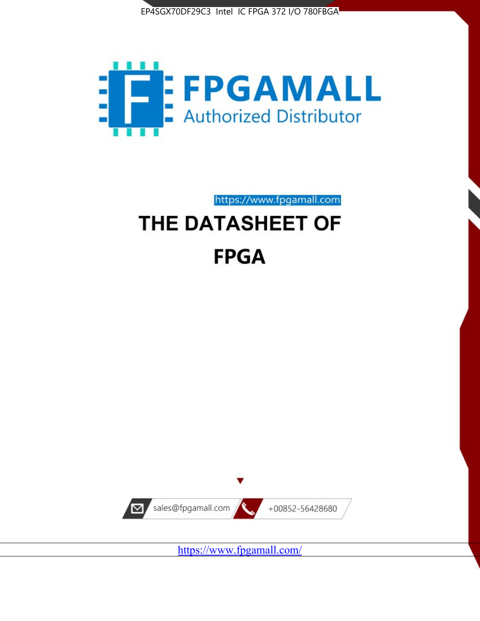



# https://www.fpgamall.com THE DATASHEET OF

# **FPGA**



<https://www.fpgamall.com/>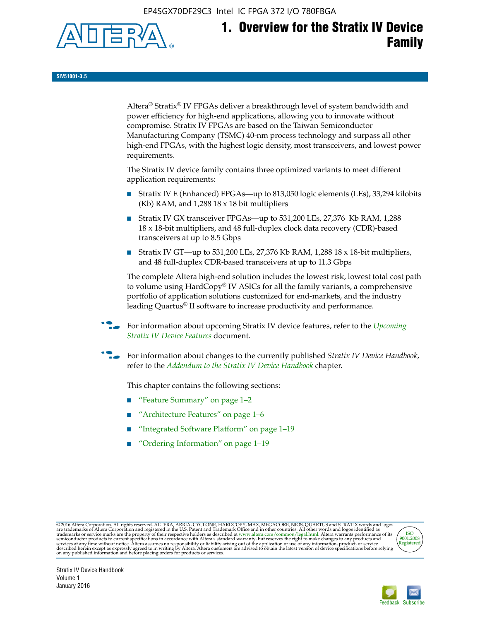EP4SGX70DF29C3 Intel IC FPGA 372 I/O 780FBGA



**SIV51001-3.5**

Altera® Stratix® IV FPGAs deliver a breakthrough level of system bandwidth and power efficiency for high-end applications, allowing you to innovate without compromise. Stratix IV FPGAs are based on the Taiwan Semiconductor Manufacturing Company (TSMC) 40-nm process technology and surpass all other high-end FPGAs, with the highest logic density, most transceivers, and lowest power requirements.

The Stratix IV device family contains three optimized variants to meet different application requirements:

- Stratix IV E (Enhanced) FPGAs—up to 813,050 logic elements (LEs), 33,294 kilobits (Kb) RAM, and 1,288 18 x 18 bit multipliers
- Stratix IV GX transceiver FPGAs—up to 531,200 LEs, 27,376 Kb RAM, 1,288 18 x 18-bit multipliers, and 48 full-duplex clock data recovery (CDR)-based transceivers at up to 8.5 Gbps
- Stratix IV GT—up to 531,200 LEs, 27,376 Kb RAM, 1,288 18 x 18-bit multipliers, and 48 full-duplex CDR-based transceivers at up to 11.3 Gbps

The complete Altera high-end solution includes the lowest risk, lowest total cost path to volume using HardCopy® IV ASICs for all the family variants, a comprehensive portfolio of application solutions customized for end-markets, and the industry leading Quartus® II software to increase productivity and performance.

f For information about upcoming Stratix IV device features, refer to the *[Upcoming](http://www.altera.com/literature/hb/stratix-iv/uf01001.pdf?GSA_pos=2&WT.oss_r=1&WT.oss=upcoming)  [Stratix IV Device Features](http://www.altera.com/literature/hb/stratix-iv/uf01001.pdf?GSA_pos=2&WT.oss_r=1&WT.oss=upcoming)* document.

f For information about changes to the currently published *Stratix IV Device Handbook*, refer to the *[Addendum to the Stratix IV Device Handbook](http://www.altera.com/literature/hb/stratix-iv/stx4_siv54002.pdf)* chapter.

This chapter contains the following sections:

- "Feature Summary" on page 1–2
- "Architecture Features" on page 1–6
- "Integrated Software Platform" on page 1–19
- "Ordering Information" on page 1–19

@2016 Altera Corporation. All rights reserved. ALTERA, ARRIA, CYCLONE, HARDCOPY, MAX, MEGACORE, NIOS, QUARTUS and STRATIX words and logos are trademarks of Altera Corporation and registered in the U.S. Patent and Trademark



Stratix IV Device Handbook Volume 1 January 2016

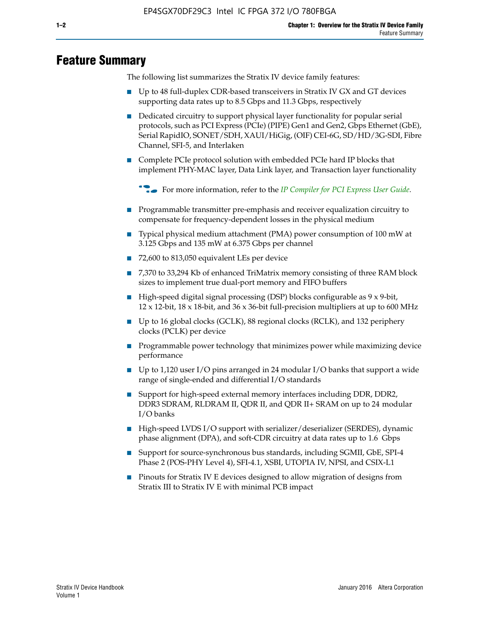# **Feature Summary**

The following list summarizes the Stratix IV device family features:

- Up to 48 full-duplex CDR-based transceivers in Stratix IV GX and GT devices supporting data rates up to 8.5 Gbps and 11.3 Gbps, respectively
- Dedicated circuitry to support physical layer functionality for popular serial protocols, such as PCI Express (PCIe) (PIPE) Gen1 and Gen2, Gbps Ethernet (GbE), Serial RapidIO, SONET/SDH, XAUI/HiGig, (OIF) CEI-6G, SD/HD/3G-SDI, Fibre Channel, SFI-5, and Interlaken
- Complete PCIe protocol solution with embedded PCIe hard IP blocks that implement PHY-MAC layer, Data Link layer, and Transaction layer functionality

**For more information, refer to the** *[IP Compiler for PCI Express User Guide](http://www.altera.com/literature/ug/ug_pci_express.pdf)***.** 

- Programmable transmitter pre-emphasis and receiver equalization circuitry to compensate for frequency-dependent losses in the physical medium
- Typical physical medium attachment (PMA) power consumption of 100 mW at 3.125 Gbps and 135 mW at 6.375 Gbps per channel
- 72,600 to 813,050 equivalent LEs per device
- 7,370 to 33,294 Kb of enhanced TriMatrix memory consisting of three RAM block sizes to implement true dual-port memory and FIFO buffers
- High-speed digital signal processing (DSP) blocks configurable as 9 x 9-bit,  $12 \times 12$ -bit,  $18 \times 18$ -bit, and  $36 \times 36$ -bit full-precision multipliers at up to 600 MHz
- Up to 16 global clocks (GCLK), 88 regional clocks (RCLK), and 132 periphery clocks (PCLK) per device
- Programmable power technology that minimizes power while maximizing device performance
- Up to 1,120 user I/O pins arranged in 24 modular I/O banks that support a wide range of single-ended and differential I/O standards
- Support for high-speed external memory interfaces including DDR, DDR2, DDR3 SDRAM, RLDRAM II, QDR II, and QDR II+ SRAM on up to 24 modular I/O banks
- High-speed LVDS I/O support with serializer/deserializer (SERDES), dynamic phase alignment (DPA), and soft-CDR circuitry at data rates up to 1.6 Gbps
- Support for source-synchronous bus standards, including SGMII, GbE, SPI-4 Phase 2 (POS-PHY Level 4), SFI-4.1, XSBI, UTOPIA IV, NPSI, and CSIX-L1
- Pinouts for Stratix IV E devices designed to allow migration of designs from Stratix III to Stratix IV E with minimal PCB impact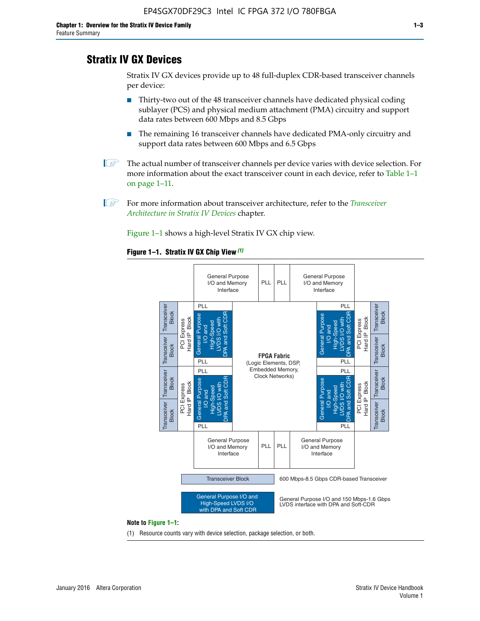# **Stratix IV GX Devices**

Stratix IV GX devices provide up to 48 full-duplex CDR-based transceiver channels per device:

- Thirty-two out of the 48 transceiver channels have dedicated physical coding sublayer (PCS) and physical medium attachment (PMA) circuitry and support data rates between 600 Mbps and 8.5 Gbps
- The remaining 16 transceiver channels have dedicated PMA-only circuitry and support data rates between 600 Mbps and 6.5 Gbps
- **1 The actual number of transceiver channels per device varies with device selection. For** more information about the exact transceiver count in each device, refer to Table 1–1 on page 1–11.
- 1 For more information about transceiver architecture, refer to the *[Transceiver](http://www.altera.com/literature/hb/stratix-iv/stx4_siv52001.pdf)  [Architecture in Stratix IV Devices](http://www.altera.com/literature/hb/stratix-iv/stx4_siv52001.pdf)* chapter.

Figure 1–1 shows a high-level Stratix IV GX chip view.

#### **Figure 1–1. Stratix IV GX Chip View** *(1)*



#### **Note to Figure 1–1:**

(1) Resource counts vary with device selection, package selection, or both.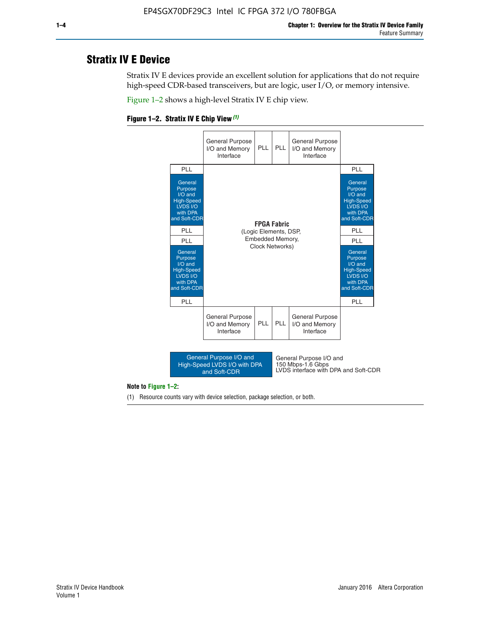# **Stratix IV E Device**

Stratix IV E devices provide an excellent solution for applications that do not require high-speed CDR-based transceivers, but are logic, user I/O, or memory intensive.

Figure 1–2 shows a high-level Stratix IV E chip view.





#### **Note to Figure 1–2:**

(1) Resource counts vary with device selection, package selection, or both.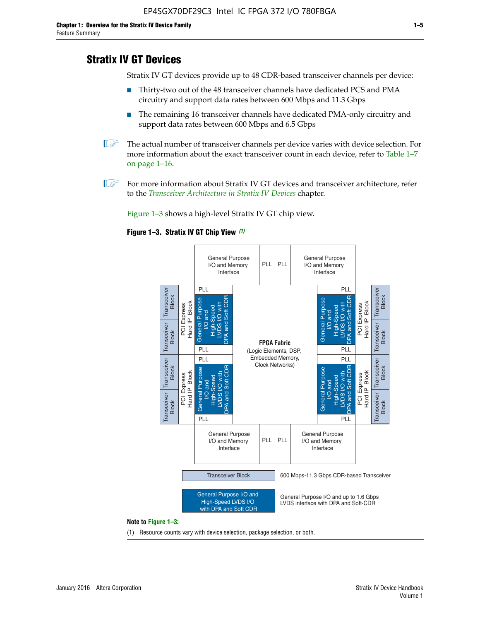# **Stratix IV GT Devices**

Stratix IV GT devices provide up to 48 CDR-based transceiver channels per device:

- Thirty-two out of the 48 transceiver channels have dedicated PCS and PMA circuitry and support data rates between 600 Mbps and 11.3 Gbps
- The remaining 16 transceiver channels have dedicated PMA-only circuitry and support data rates between 600 Mbps and 6.5 Gbps
- **1** The actual number of transceiver channels per device varies with device selection. For more information about the exact transceiver count in each device, refer to Table 1–7 on page 1–16.
- $\mathbb{I}$  For more information about Stratix IV GT devices and transceiver architecture, refer to the *[Transceiver Architecture in Stratix IV Devices](http://www.altera.com/literature/hb/stratix-iv/stx4_siv52001.pdf)* chapter.

Figure 1–3 shows a high-level Stratix IV GT chip view.





(1) Resource counts vary with device selection, package selection, or both.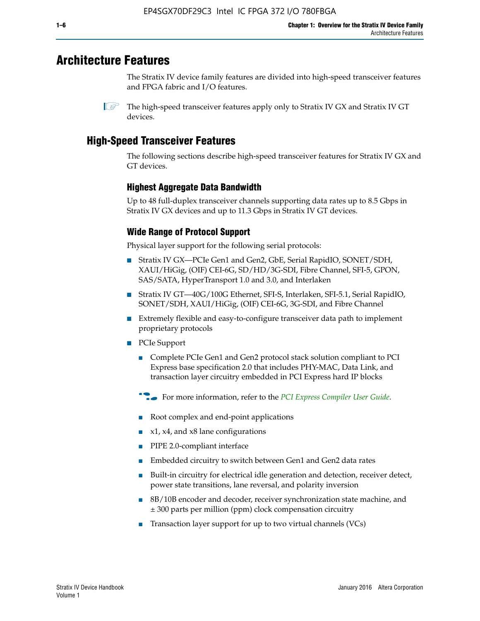# **Architecture Features**

The Stratix IV device family features are divided into high-speed transceiver features and FPGA fabric and I/O features.

 $\mathbb{I}$  The high-speed transceiver features apply only to Stratix IV GX and Stratix IV GT devices.

# **High-Speed Transceiver Features**

The following sections describe high-speed transceiver features for Stratix IV GX and GT devices.

## **Highest Aggregate Data Bandwidth**

Up to 48 full-duplex transceiver channels supporting data rates up to 8.5 Gbps in Stratix IV GX devices and up to 11.3 Gbps in Stratix IV GT devices.

## **Wide Range of Protocol Support**

Physical layer support for the following serial protocols:

- Stratix IV GX—PCIe Gen1 and Gen2, GbE, Serial RapidIO, SONET/SDH, XAUI/HiGig, (OIF) CEI-6G, SD/HD/3G-SDI, Fibre Channel, SFI-5, GPON, SAS/SATA, HyperTransport 1.0 and 3.0, and Interlaken
- Stratix IV GT—40G/100G Ethernet, SFI-S, Interlaken, SFI-5.1, Serial RapidIO, SONET/SDH, XAUI/HiGig, (OIF) CEI-6G, 3G-SDI, and Fibre Channel
- Extremely flexible and easy-to-configure transceiver data path to implement proprietary protocols
- PCIe Support
	- Complete PCIe Gen1 and Gen2 protocol stack solution compliant to PCI Express base specification 2.0 that includes PHY-MAC, Data Link, and transaction layer circuitry embedded in PCI Express hard IP blocks
	- **For more information, refer to the [PCI Express Compiler User Guide](http://www.altera.com/literature/ug/ug_pci_express.pdf).**
	- Root complex and end-point applications
	- $x1, x4,$  and  $x8$  lane configurations
	- PIPE 2.0-compliant interface
	- Embedded circuitry to switch between Gen1 and Gen2 data rates
	- Built-in circuitry for electrical idle generation and detection, receiver detect, power state transitions, lane reversal, and polarity inversion
	- 8B/10B encoder and decoder, receiver synchronization state machine, and ± 300 parts per million (ppm) clock compensation circuitry
	- Transaction layer support for up to two virtual channels (VCs)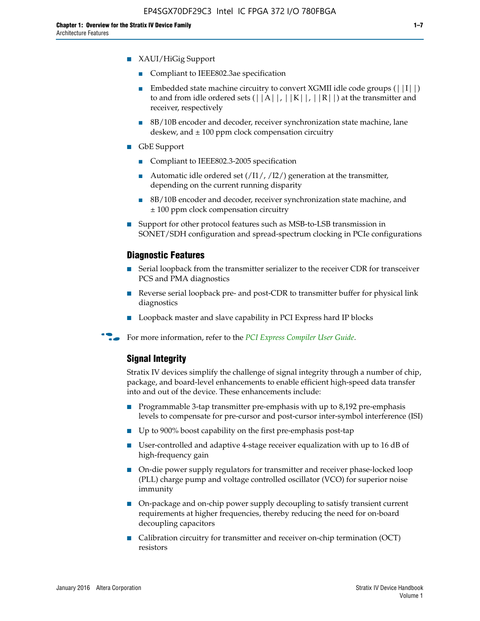- XAUI/HiGig Support
	- Compliant to IEEE802.3ae specification
	- **■** Embedded state machine circuitry to convert XGMII idle code groups  $(|11|)$ to and from idle ordered sets  $(|A|, |K|, |R|)$  at the transmitter and receiver, respectively
	- 8B/10B encoder and decoder, receiver synchronization state machine, lane deskew, and  $\pm 100$  ppm clock compensation circuitry
- GbE Support
	- Compliant to IEEE802.3-2005 specification
	- Automatic idle ordered set  $(111/112/1)$  generation at the transmitter, depending on the current running disparity
	- 8B/10B encoder and decoder, receiver synchronization state machine, and ± 100 ppm clock compensation circuitry
- Support for other protocol features such as MSB-to-LSB transmission in SONET/SDH configuration and spread-spectrum clocking in PCIe configurations

#### **Diagnostic Features**

- Serial loopback from the transmitter serializer to the receiver CDR for transceiver PCS and PMA diagnostics
- Reverse serial loopback pre- and post-CDR to transmitter buffer for physical link diagnostics
- Loopback master and slave capability in PCI Express hard IP blocks
- **For more information, refer to the** *[PCI Express Compiler User Guide](http://www.altera.com/literature/ug/ug_pci_express.pdf)***.**

#### **Signal Integrity**

Stratix IV devices simplify the challenge of signal integrity through a number of chip, package, and board-level enhancements to enable efficient high-speed data transfer into and out of the device. These enhancements include:

- Programmable 3-tap transmitter pre-emphasis with up to 8,192 pre-emphasis levels to compensate for pre-cursor and post-cursor inter-symbol interference (ISI)
- Up to 900% boost capability on the first pre-emphasis post-tap
- User-controlled and adaptive 4-stage receiver equalization with up to 16 dB of high-frequency gain
- On-die power supply regulators for transmitter and receiver phase-locked loop (PLL) charge pump and voltage controlled oscillator (VCO) for superior noise immunity
- On-package and on-chip power supply decoupling to satisfy transient current requirements at higher frequencies, thereby reducing the need for on-board decoupling capacitors
- Calibration circuitry for transmitter and receiver on-chip termination (OCT) resistors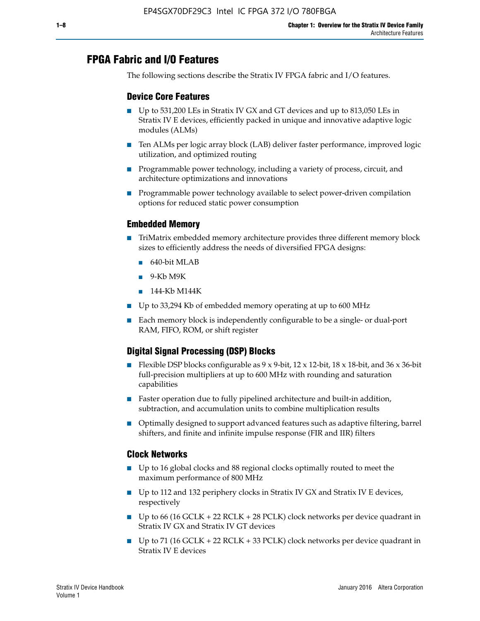# **FPGA Fabric and I/O Features**

The following sections describe the Stratix IV FPGA fabric and I/O features.

### **Device Core Features**

- Up to 531,200 LEs in Stratix IV GX and GT devices and up to 813,050 LEs in Stratix IV E devices, efficiently packed in unique and innovative adaptive logic modules (ALMs)
- Ten ALMs per logic array block (LAB) deliver faster performance, improved logic utilization, and optimized routing
- Programmable power technology, including a variety of process, circuit, and architecture optimizations and innovations
- Programmable power technology available to select power-driven compilation options for reduced static power consumption

#### **Embedded Memory**

- TriMatrix embedded memory architecture provides three different memory block sizes to efficiently address the needs of diversified FPGA designs:
	- 640-bit MLAB
	- 9-Kb M9K
	- 144-Kb M144K
- Up to 33,294 Kb of embedded memory operating at up to 600 MHz
- Each memory block is independently configurable to be a single- or dual-port RAM, FIFO, ROM, or shift register

## **Digital Signal Processing (DSP) Blocks**

- Flexible DSP blocks configurable as  $9 \times 9$ -bit,  $12 \times 12$ -bit,  $18 \times 18$ -bit, and  $36 \times 36$ -bit full-precision multipliers at up to 600 MHz with rounding and saturation capabilities
- Faster operation due to fully pipelined architecture and built-in addition, subtraction, and accumulation units to combine multiplication results
- Optimally designed to support advanced features such as adaptive filtering, barrel shifters, and finite and infinite impulse response (FIR and IIR) filters

#### **Clock Networks**

- Up to 16 global clocks and 88 regional clocks optimally routed to meet the maximum performance of 800 MHz
- Up to 112 and 132 periphery clocks in Stratix IV GX and Stratix IV E devices, respectively
- Up to 66 (16 GCLK + 22 RCLK + 28 PCLK) clock networks per device quadrant in Stratix IV GX and Stratix IV GT devices
- Up to 71 (16 GCLK + 22 RCLK + 33 PCLK) clock networks per device quadrant in Stratix IV E devices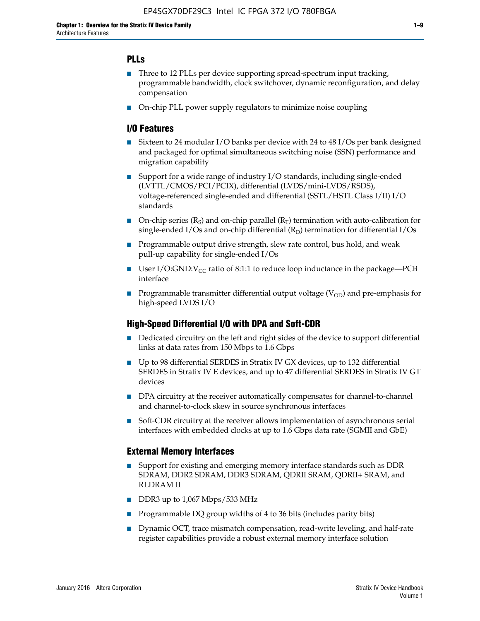## **PLLs**

- Three to 12 PLLs per device supporting spread-spectrum input tracking, programmable bandwidth, clock switchover, dynamic reconfiguration, and delay compensation
- On-chip PLL power supply regulators to minimize noise coupling

### **I/O Features**

- Sixteen to 24 modular I/O banks per device with 24 to 48 I/Os per bank designed and packaged for optimal simultaneous switching noise (SSN) performance and migration capability
- Support for a wide range of industry I/O standards, including single-ended (LVTTL/CMOS/PCI/PCIX), differential (LVDS/mini-LVDS/RSDS), voltage-referenced single-ended and differential (SSTL/HSTL Class I/II) I/O standards
- **O**n-chip series  $(R_S)$  and on-chip parallel  $(R_T)$  termination with auto-calibration for single-ended I/Os and on-chip differential  $(R_D)$  termination for differential I/Os
- Programmable output drive strength, slew rate control, bus hold, and weak pull-up capability for single-ended I/Os
- User I/O:GND: $V_{CC}$  ratio of 8:1:1 to reduce loop inductance in the package—PCB interface
- **■** Programmable transmitter differential output voltage ( $V_{OD}$ ) and pre-emphasis for high-speed LVDS I/O

#### **High-Speed Differential I/O with DPA and Soft-CDR**

- Dedicated circuitry on the left and right sides of the device to support differential links at data rates from 150 Mbps to 1.6 Gbps
- Up to 98 differential SERDES in Stratix IV GX devices, up to 132 differential SERDES in Stratix IV E devices, and up to 47 differential SERDES in Stratix IV GT devices
- DPA circuitry at the receiver automatically compensates for channel-to-channel and channel-to-clock skew in source synchronous interfaces
- Soft-CDR circuitry at the receiver allows implementation of asynchronous serial interfaces with embedded clocks at up to 1.6 Gbps data rate (SGMII and GbE)

#### **External Memory Interfaces**

- Support for existing and emerging memory interface standards such as DDR SDRAM, DDR2 SDRAM, DDR3 SDRAM, QDRII SRAM, QDRII+ SRAM, and RLDRAM II
- DDR3 up to 1,067 Mbps/533 MHz
- Programmable DQ group widths of 4 to 36 bits (includes parity bits)
- Dynamic OCT, trace mismatch compensation, read-write leveling, and half-rate register capabilities provide a robust external memory interface solution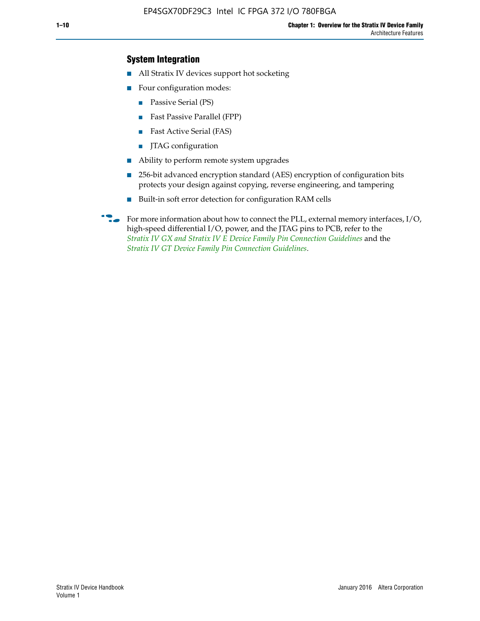## **System Integration**

- All Stratix IV devices support hot socketing
- Four configuration modes:
	- Passive Serial (PS)
	- Fast Passive Parallel (FPP)
	- Fast Active Serial (FAS)
	- JTAG configuration
- Ability to perform remote system upgrades
- 256-bit advanced encryption standard (AES) encryption of configuration bits protects your design against copying, reverse engineering, and tampering
- Built-in soft error detection for configuration RAM cells
- For more information about how to connect the PLL, external memory interfaces,  $I/O$ , high-speed differential I/O, power, and the JTAG pins to PCB, refer to the *[Stratix IV GX and Stratix IV E Device Family Pin Connection Guidelines](http://www.altera.com/literature/dp/stratix4/PCG-01005.pdf)* and the *[Stratix IV GT Device Family Pin Connection Guidelines](http://www.altera.com/literature/dp/stratix4/PCG-01006.pdf)*.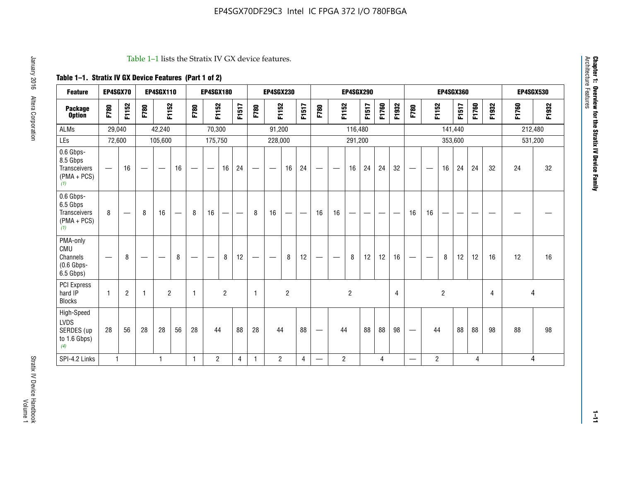#### Table 1–1 lists the Stratix IV GX device features.

## **Table 1–1. Stratix IV GX Device Features (Part 1 of 2)**

| <b>Feature</b>                                                | EP4SGX70          |                               |                                  | <b>EP4SGX110</b> |                                 |      | <b>EP4SGX180</b>                |                |       |                               | <b>EP4SGX230</b>         |                |                               |                                 |                | <b>EP4SGX290</b> |                                   |       |                |                                 |                               |                | <b>EP4SGX360</b> |       |                |       | <b>EP4SGX530</b> |
|---------------------------------------------------------------|-------------------|-------------------------------|----------------------------------|------------------|---------------------------------|------|---------------------------------|----------------|-------|-------------------------------|--------------------------|----------------|-------------------------------|---------------------------------|----------------|------------------|-----------------------------------|-------|----------------|---------------------------------|-------------------------------|----------------|------------------|-------|----------------|-------|------------------|
| <b>Package</b><br><b>Option</b>                               | F780              | F1152                         | F780                             | F1152            |                                 | F780 | F1152                           |                | F1517 | F780                          | F1152                    |                | F1517                         | F780                            | F1152          |                  | F1517                             | F1760 | F1932          | F780                            | F1152                         |                | F1517            | F1760 | F1932          | F1760 | F1932            |
| <b>ALMs</b>                                                   | 29,040            |                               |                                  | 42,240           |                                 |      | 70,300                          |                |       |                               | 91,200                   |                |                               |                                 |                | 116,480          |                                   |       |                |                                 |                               | 141,440        |                  |       |                |       | 212,480          |
| LEs                                                           | 72,600            |                               |                                  | 105,600          |                                 |      | 175,750                         |                |       |                               | 228,000                  |                |                               |                                 |                | 291,200          |                                   |       |                |                                 |                               | 353,600        |                  |       |                |       | 531,200          |
| 0.6 Gbps-<br>8.5 Gbps<br>Transceivers<br>$(PMA + PCs)$<br>(1) |                   | 16                            | $\overbrace{\phantom{12322111}}$ |                  | 16                              |      | $\hspace{0.1mm}-\hspace{0.1mm}$ | 16             | 24    | $\overbrace{\phantom{aaaaa}}$ | $\overline{\phantom{a}}$ | 16             | 24                            | —                               |                | 16               | 24                                | 24    | 32             | $\hspace{0.1mm}-\hspace{0.1mm}$ | $\qquad \qquad$               | 16             | 24               | 24    | 32             | 24    | 32               |
| 0.6 Gbps-<br>6.5 Gbps<br>Transceivers<br>$(PMA + PCs)$<br>(1) | 8                 | $\overbrace{\phantom{aaaaa}}$ | 8                                | 16               | $\hspace{0.1mm}-\hspace{0.1mm}$ | 8    | 16                              | -              | —     | 8                             | 16                       | —              | $\overbrace{\phantom{aaaaa}}$ | 16                              | 16             | —                | $\overbrace{\phantom{123221111}}$ |       |                | 16                              | 16                            |                |                  |       |                |       |                  |
| PMA-only<br>CMU<br>Channels<br>$(0.6$ Gbps-<br>6.5 Gbps)      | $\hspace{0.05cm}$ | 8                             | $\overbrace{\phantom{12322111}}$ |                  | 8                               | —    | $\hspace{0.05cm}$               | 8              | 12    | $\overline{\phantom{0}}$      | $\overline{\phantom{a}}$ | 8              | 12                            | $\hspace{0.1mm}-\hspace{0.1mm}$ | -              | 8                | 12                                | 12    | 16             |                                 | $\overbrace{\phantom{aaaaa}}$ | 8              | 12               | 12    | 16             | 12    | 16               |
| <b>PCI Express</b><br>hard IP<br><b>Blocks</b>                | 1                 | $\overline{2}$                | 1                                | $\overline{2}$   |                                 | 1    |                                 | $\overline{2}$ |       | $\mathbf{1}$                  |                          | $\overline{c}$ |                               |                                 |                | $\overline{2}$   |                                   |       | $\overline{4}$ |                                 |                               | $\overline{2}$ |                  |       | $\overline{4}$ |       | 4                |
| High-Speed<br>LVDS<br>SERDES (up<br>to 1.6 Gbps)<br>(4)       | 28                | 56                            | 28                               | 28               | 56                              | 28   | 44                              |                | 88    | 28                            | 44                       |                | 88                            | —                               | 44             |                  | 88                                | 88    | 98             |                                 | 44                            |                | 88               | 88    | 98             | 88    | 98               |
| SPI-4.2 Links                                                 | $\mathbf{1}$      |                               |                                  | 1                |                                 | 1.   | $\overline{c}$                  |                | 4     | 1                             | $\overline{2}$           |                | $\overline{4}$                | —                               | $\overline{c}$ |                  |                                   | 4     |                | $\qquad \qquad \longleftarrow$  | 2                             |                |                  | 4     |                |       | 4                |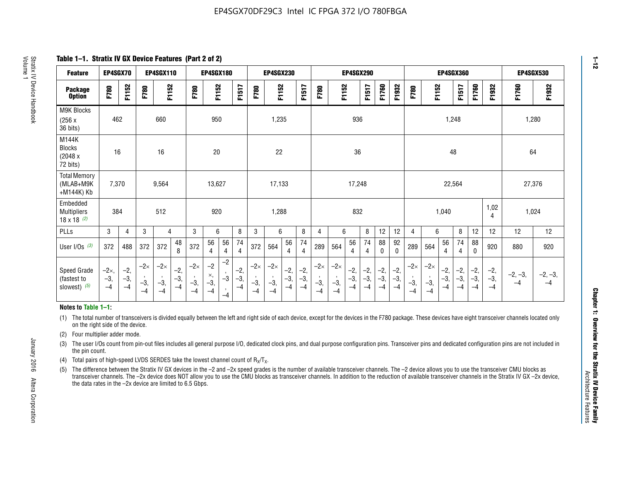**Table 1–1. Stratix IV GX Device Features (Part 2 of 2)**

| <b>Feature</b>                                       | EP4SGX70                |                        |                             | <b>EP4SGX110</b>            |                      |                             | <b>EP4SGX180</b>          |                                              |                        |                             | <b>EP4SGX230</b>            |                        |                      |                             |                             | EP4SGX290              |                      |                        |                        |                             |                             |                        | <b>EP4SGX360</b>     |                        |                        | <b>EP4SGX530</b>  |                   |
|------------------------------------------------------|-------------------------|------------------------|-----------------------------|-----------------------------|----------------------|-----------------------------|---------------------------|----------------------------------------------|------------------------|-----------------------------|-----------------------------|------------------------|----------------------|-----------------------------|-----------------------------|------------------------|----------------------|------------------------|------------------------|-----------------------------|-----------------------------|------------------------|----------------------|------------------------|------------------------|-------------------|-------------------|
| <b>Package</b><br><b>Option</b>                      | F780                    | F1152                  | F780                        | F1152                       |                      | F780                        | F1152                     |                                              | F1517                  | F780                        | F1152                       |                        | F1517                | F780                        | F1152                       |                        | F1517                | F1760                  | F1932                  | F780                        | F1152                       |                        | F1517                | F1760                  | F1932                  | F1760             | F1932             |
| M9K Blocks<br>(256x)<br>36 bits)                     | 462                     |                        |                             | 660                         |                      |                             | 950                       |                                              |                        |                             | 1,235                       |                        |                      |                             |                             | 936                    |                      |                        |                        |                             |                             | 1,248                  |                      |                        |                        | 1,280             |                   |
| M144K<br>Blocks<br>(2048 x<br>72 bits)               | 16                      |                        |                             | 16                          |                      |                             | 20                        |                                              |                        |                             | 22                          |                        |                      |                             |                             | 36                     |                      |                        |                        |                             |                             | 48                     |                      |                        |                        | 64                |                   |
| <b>Total Memory</b><br>(MLAB+M9K<br>+M144K) Kb       | 7,370                   |                        |                             | 9,564                       |                      |                             | 13,627                    |                                              |                        |                             | 17,133                      |                        |                      |                             |                             | 17,248                 |                      |                        |                        |                             |                             | 22,564                 |                      |                        |                        | 27,376            |                   |
| Embedded<br><b>Multipliers</b><br>$18 \times 18$ (2) | 384                     |                        |                             | 512                         |                      |                             | 920                       |                                              |                        |                             | 1,288                       |                        |                      |                             |                             | 832                    |                      |                        |                        |                             |                             | 1,040                  |                      |                        | 1,02<br>4              | 1,024             |                   |
| PLLs                                                 | 3                       | 4                      | 3                           | 4                           |                      | 3                           | 6                         |                                              | 8                      | 3                           | 6                           |                        | 8                    | 4                           | 6                           |                        | 8                    | 12                     | 12                     | 4                           | 6                           |                        | 8                    | 12                     | 12                     | 12                | 12                |
| User I/Os $(3)$                                      | 372                     | 488                    | 372                         | 372                         | 48<br>8              | 372                         | 56<br>4                   | 56<br>4                                      | 74<br>$\overline{4}$   | 372                         | 564                         | 56<br>4                | 74<br>$\overline{4}$ | 289                         | 564                         | 56<br>4                | 74<br>4              | 88<br>0                | 92<br>$\mathbf 0$      | 289                         | 564                         | 56<br>4                | 74<br>4              | 88<br>0                | 920                    | 880               | 920               |
| Speed Grade<br>(fastest to<br>slowest) (5)           | $-2x,$<br>$-3,$<br>$-4$ | $-2,$<br>$-3,$<br>$-4$ | $-2\times$<br>$-3,$<br>$-4$ | $-2\times$<br>$-3,$<br>$-4$ | $-2,$<br>-3,<br>$-4$ | $-2\times$<br>$-3,$<br>$-4$ | $-2$<br>×,<br>$-3,$<br>-4 | $-2$<br>$\,$<br>$-3$<br>$\mathbf{r}$<br>$-4$ | $-2,$<br>$-3,$<br>$-4$ | $-2\times$<br>$-3,$<br>$-4$ | $-2\times$<br>$-3,$<br>$-4$ | $-2,$<br>$-3,$<br>$-4$ | $-2,$<br>-3,<br>$-4$ | $-2\times$<br>$-3,$<br>$-4$ | $-2\times$<br>$-3,$<br>$-4$ | $-2,$<br>$-3,$<br>$-4$ | $-2,$<br>-3,<br>$-4$ | $-2,$<br>$-3,$<br>$-4$ | $-2,$<br>$-3,$<br>$-4$ | $-2\times$<br>$-3,$<br>$-4$ | $-2\times$<br>$-3,$<br>$-4$ | $-2,$<br>$-3,$<br>$-4$ | $-2,$<br>-3,<br>$-4$ | $-2,$<br>$-3,$<br>$-4$ | $-2,$<br>$-3,$<br>$-4$ | $-2, -3,$<br>$-4$ | $-2, -3,$<br>$-4$ |

#### **Notes to Table 1–1:**

(1) The total number of transceivers is divided equally between the left and right side of each device, except for the devices in the F780 package. These devices have eight transceiver channels located only on the right side of the device.

- (2) Four multiplier adder mode.
- (3) The user I/Os count from pin-out files includes all general purpose I/O, dedicated clock pins, and dual purpose configuration pins. Transceiver pins and dedicated configuration pins are not included in the pin count.
- (4) Total pairs of high-speed LVDS SERDES take the lowest channel count of  $R_X/T_X$ .
- (5) The difference between the Stratix IV GX devices in the –2 and –2x speed grades is the number of available transceiver channels. The –2 device allows you to use the transceiver CMU blocks as transceiver channels. The –2x device does NOT allow you to use the CMU blocks as transceiver channels. In addition to the reduction of available transceiver channels in the Stratix IV GX –2x device, the data rates in the –2x device are limited to 6.5 Gbps.

January 2016 Altera Corporation

Altera Corporation

January 2016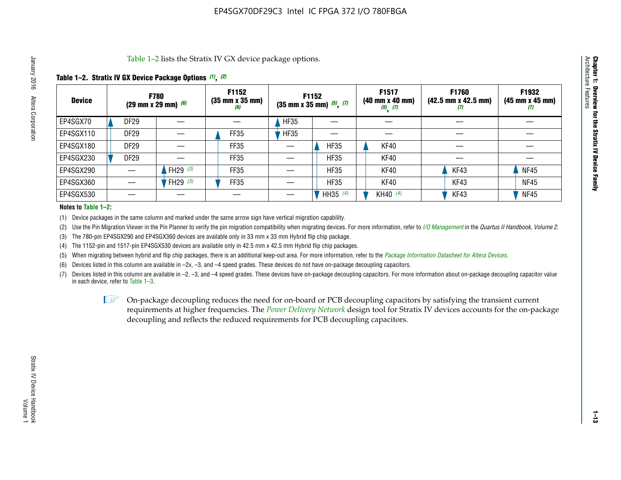Table 1–2 lists the Stratix IV GX device package options.

#### **Table 1–2. Stratix IV GX Device Package Options** *(1)***,** *(2)*

| <b>Device</b> | <b>F780</b>      | (29 mm x 29 mm) $(6)$ | F1152<br>(35 mm x 35 mm) |             | F1152<br>$(35 \text{ mm} \times 35 \text{ mm})$ $(5)$ , $(7)$ | F1517<br>$(40 \, \text{mm} \times 40 \, \text{mm})$<br>$(5)$ $(7)$ | <b>F1760</b><br>$(42.5 \text{ mm} \times 42.5 \text{ mm})$<br>W | F1932<br>$(45 \, \text{mm} \times 45 \, \text{mm})$<br>$\boldsymbol{U}$ |
|---------------|------------------|-----------------------|--------------------------|-------------|---------------------------------------------------------------|--------------------------------------------------------------------|-----------------------------------------------------------------|-------------------------------------------------------------------------|
| EP4SGX70      | DF <sub>29</sub> |                       |                          | <b>HF35</b> |                                                               |                                                                    |                                                                 |                                                                         |
| EP4SGX110     | <b>DF29</b>      |                       | FF35                     | <b>HF35</b> |                                                               |                                                                    |                                                                 |                                                                         |
| EP4SGX180     | <b>DF29</b>      |                       | FF35                     |             | <b>HF35</b>                                                   | KF40                                                               |                                                                 |                                                                         |
| EP4SGX230     | DF <sub>29</sub> |                       | FF35                     |             | <b>HF35</b>                                                   | KF40                                                               |                                                                 |                                                                         |
| EP4SGX290     |                  | FH29 $(3)$            | FF35                     |             | <b>HF35</b>                                                   | KF40                                                               | KF43                                                            | <b>NF45</b>                                                             |
| EP4SGX360     |                  | FH29 $(3)$            | FF35                     |             | <b>HF35</b>                                                   | KF40                                                               | KF43                                                            | <b>NF45</b>                                                             |
| EP4SGX530     |                  |                       |                          |             | HH35 $(4)$                                                    | KH40 $(4)$                                                         | KF43                                                            | <b>NF45</b>                                                             |

#### **Notes to Table 1–2:**

(1) Device packages in the same column and marked under the same arrow sign have vertical migration capability.

(2) Use the Pin Migration Viewer in the Pin Planner to verify the pin migration compatibility when migrating devices. For more information, refer to *[I/O Management](http://www.altera.com/literature/hb/qts/qts_qii52013.pdf)* in the *Quartus II Handbook, Volume 2*.

(3) The 780-pin EP4SGX290 and EP4SGX360 devices are available only in 33 mm x 33 mm Hybrid flip chip package.

(4) The 1152-pin and 1517-pin EP4SGX530 devices are available only in 42.5 mm x 42.5 mm Hybrid flip chip packages.

(5) When migrating between hybrid and flip chip packages, there is an additional keep-out area. For more information, refer to the *[Package Information Datasheet for Altera Devices](http://www.altera.com/literature/ds/dspkg.pdf)*.

(6) Devices listed in this column are available in –2x, –3, and –4 speed grades. These devices do not have on-package decoupling capacitors.

(7) Devices listed in this column are available in –2, –3, and –4 speed grades. These devices have on-package decoupling capacitors. For more information about on-package decoupling capacitor value in each device, refer to Table 1–3.

 $\mathbb{L}$ s On-package decoupling reduces the need for on-board or PCB decoupling capacitors by satisfying the transient current requirements at higher frequencies. The *[Power Delivery Network](http://www.altera.com/literature/ug/pdn_tool_stxiv.zip)* design tool for Stratix IV devices accounts for the on-package decoupling and reflects the reduced requirements for PCB decoupling capacitors.

**Chapter 1: Overview for the Stratix IV Device Family**

Chapter 1: Overview for the Stratix IV Device Family<br>Architecture Features

Architecture Features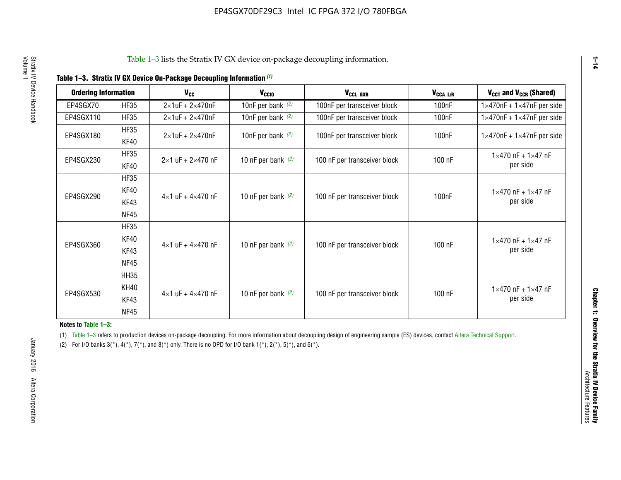| <b>Ordering Information</b> |             | <b>V<sub>cc</sub></b>               | V <sub>ccio</sub>    | V <sub>CCL_GXB</sub>         | $V_{\texttt{CCA}\_\textsf{L/R}}$ | $V_{CCT}$ and $V_{CCR}$ (Shared)              |
|-----------------------------|-------------|-------------------------------------|----------------------|------------------------------|----------------------------------|-----------------------------------------------|
|                             |             |                                     |                      |                              |                                  |                                               |
| EP4SGX70                    | <b>HF35</b> | $2\times1$ uF + $2\times470$ nF     | 10nF per bank $(2)$  | 100nF per transceiver block  | 100nF                            | $1 \times 470$ nF + $1 \times 47$ nF per side |
| EP4SGX110                   | <b>HF35</b> | $2\times1$ uF + 2 $\times$ 470nF    | 10nF per bank $(2)$  | 100nF per transceiver block  | 100 <sub>nF</sub>                | $1\times470$ nF + $1\times47$ nF per side     |
| EP4SGX180                   | <b>HF35</b> | $2\times1$ uF + $2\times470$ nF     | 10nF per bank $(2)$  | 100nF per transceiver block  | 100 <sub>n</sub> F               | $1 \times 470$ nF + $1 \times 47$ nF per side |
|                             | KF40        |                                     |                      |                              |                                  |                                               |
|                             | <b>HF35</b> |                                     |                      |                              |                                  | $1 \times 470$ nF + $1 \times 47$ nF          |
| EP4SGX230                   | KF40        | $2\times1$ uF + $2\times470$ nF     | 10 nF per bank $(2)$ | 100 nF per transceiver block | 100 nF                           | per side                                      |
|                             | <b>HF35</b> |                                     |                      |                              |                                  |                                               |
|                             | KF40        | $4 \times 1$ uF + $4 \times 470$ nF |                      |                              |                                  | $1 \times 470$ nF + $1 \times 47$ nF          |
| EP4SGX290                   | KF43        |                                     | 10 nF per bank $(2)$ | 100 nF per transceiver block | 100nF                            | per side                                      |
|                             | <b>NF45</b> |                                     |                      |                              |                                  |                                               |
|                             | <b>HF35</b> |                                     |                      |                              |                                  |                                               |
|                             | KF40        |                                     |                      |                              |                                  | $1 \times 470$ nF + $1 \times 47$ nF          |
| EP4SGX360                   | KF43        | $4 \times 1$ uF + $4 \times 470$ nF | 10 nF per bank $(2)$ | 100 nF per transceiver block | 100 nF                           | per side                                      |
|                             | <b>NF45</b> |                                     |                      |                              |                                  |                                               |
|                             | <b>HH35</b> |                                     |                      |                              |                                  |                                               |
|                             | <b>KH40</b> |                                     |                      |                              |                                  | $1 \times 470$ nF + $1 \times 47$ nF          |
| EP4SGX530                   | KF43        | $4 \times 1$ uF + $4 \times 470$ nF | 10 nF per bank $(2)$ | 100 nF per transceiver block | 100 nF                           | per side                                      |
|                             | <b>NF45</b> |                                     |                      |                              |                                  |                                               |

**Notes to Table 1–3:**

(1) Table 1-3 refers to production devices on-package decoupling. For more information about decoupling design of engineering sample (ES) devices, contact [Altera Technical Support](http://mysupport.altera.com/eservice/login.asp).

(2) For I/O banks  $3(*)$ ,  $4(*)$ ,  $7(*)$ , and  $8(*)$  only. There is no OPD for I/O bank  $1(*)$ ,  $2(*)$ ,  $5(*)$ , and  $6(*)$ .

**1–14**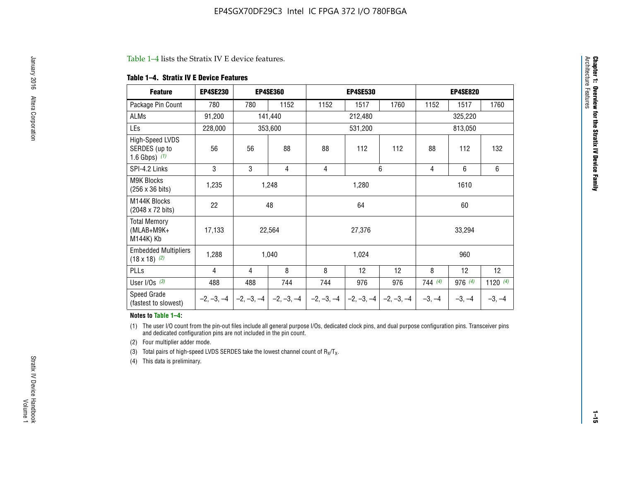#### Table 1–4 lists the Stratix IV E device features.

#### **Table 1–4. Stratix IV E Device Features**

| <b>Feature</b>                                      | <b>EP4SE230</b> |     | <b>EP4SE360</b>                        |              | <b>EP4SE530</b> |              |          | <b>EP4SE820</b> |            |  |
|-----------------------------------------------------|-----------------|-----|----------------------------------------|--------------|-----------------|--------------|----------|-----------------|------------|--|
| Package Pin Count                                   | 780             | 780 | 1152                                   | 1152         | 1517            | 1760         | 1152     | 1517            | 1760       |  |
| ALMs                                                | 91,200          |     | 141,440                                |              | 212,480         |              |          | 325,220         |            |  |
| LEs                                                 | 228,000         |     | 353,600                                |              | 531,200         |              | 813,050  |                 |            |  |
| High-Speed LVDS<br>SERDES (up to<br>1.6 Gbps) $(1)$ | 56              | 56  | 88                                     | 88           | 112             | 112          | 88       | 112             | 132        |  |
| SPI-4.2 Links                                       | 3               | 3   | 4                                      | 4            |                 | 6            | 4        | 6               | 6          |  |
| <b>M9K Blocks</b><br>(256 x 36 bits)                | 1,235           |     | 1,248                                  |              | 1,280           |              |          | 1610            |            |  |
| M144K Blocks<br>(2048 x 72 bits)                    | 22              |     | 48                                     |              | 64              |              | 60       |                 |            |  |
| <b>Total Memory</b><br>$(MLAB+M9K+$<br>M144K) Kb    | 17,133          |     | 22,564                                 |              | 27,376          |              |          | 33,294          |            |  |
| <b>Embedded Multipliers</b><br>$(18 \times 18)$ (2) | 1,288           |     | 1,040                                  |              | 1,024           |              |          | 960             |            |  |
| PLLs                                                | 4               | 4   | 8                                      | 8            | 12              | 12           | 8        | 12              | 12         |  |
| User I/Os $(3)$                                     | 488             | 488 | 744                                    | 744          | 976             | 976          | 744(4)   | 976 (4)         | 1120 $(4)$ |  |
| Speed Grade<br>(fastest to slowest)                 |                 |     | $-2, -3, -4$ $-2, -3, -4$ $-2, -3, -4$ | $-2, -3, -4$ | $-2, -3, -4$    | $-2, -3, -4$ | $-3, -4$ | $-3, -4$        | $-3, -4$   |  |

#### **Notes to Table 1–4:**

(1) The user I/O count from the pin-out files include all general purpose I/Os, dedicated clock pins, and dual purpose configuration pins. Transceiver pins and dedicated configuration pins are not included in the pin count.

(2) Four multiplier adder mode.

(3) Total pairs of high-speed LVDS SERDES take the lowest channel count of  $R_X/T_X$ .

(4) This data is preliminary.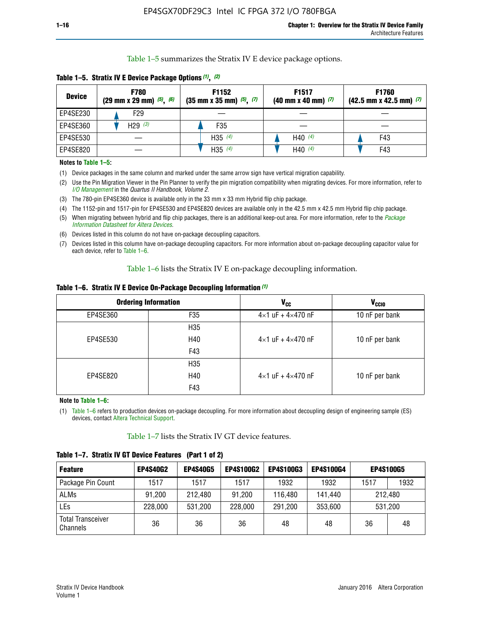Table 1–5 summarizes the Stratix IV E device package options.

| <b>Device</b> | <b>F780</b><br>$(29 \text{ mm} \times 29 \text{ mm})$ $(5)$ , $(6)$ | F1152<br>$(35 \text{ mm} \times 35 \text{ mm})$ $(5)$ , $(7)$ | F <sub>1517</sub><br>$(40 \text{ mm} \times 40 \text{ mm})$ (7) | <b>F1760</b><br>$(42.5$ mm x 42.5 mm) $(7)$ |  |  |
|---------------|---------------------------------------------------------------------|---------------------------------------------------------------|-----------------------------------------------------------------|---------------------------------------------|--|--|
| EP4SE230      | F29                                                                 |                                                               |                                                                 |                                             |  |  |
| EP4SE360      | H <sub>29</sub> $(3)$                                               | F35                                                           |                                                                 |                                             |  |  |
| EP4SE530      |                                                                     | H35 $(4)$                                                     | H40 $(4)$                                                       | F43                                         |  |  |
| EP4SE820      |                                                                     | H35 $(4)$                                                     | H40 $(4)$                                                       | F43                                         |  |  |

**Table 1–5. Stratix IV E Device Package Options** *(1)***,** *(2)*

#### **Notes to Table 1–5:**

(1) Device packages in the same column and marked under the same arrow sign have vertical migration capability.

(2) Use the Pin Migration Viewer in the Pin Planner to verify the pin migration compatibility when migrating devices. For more information, refer to *[I/O Management](http://www.altera.com/literature/hb/qts/qts_qii52013.pdf)* in the *Quartus II Handbook, Volume 2*.

(3) The 780-pin EP4SE360 device is available only in the 33 mm x 33 mm Hybrid flip chip package.

(4) The 1152-pin and 1517-pin for EP4SE530 and EP4SE820 devices are available only in the 42.5 mm x 42.5 mm Hybrid flip chip package.

(5) When migrating between hybrid and flip chip packages, there is an additional keep-out area. For more information, refer to the *[Package](http://www.altera.com/literature/ds/dspkg.pdf)  [Information Datasheet for Altera Devices](http://www.altera.com/literature/ds/dspkg.pdf)*.

(6) Devices listed in this column do not have on-package decoupling capacitors.

(7) Devices listed in this column have on-package decoupling capacitors. For more information about on-package decoupling capacitor value for each device, refer to Table 1–6.

Table 1–6 lists the Stratix IV E on-package decoupling information.

| Table 1–6. Stratix IV E Device On-Package Decoupling Information (1) |  |  |  |  |  |
|----------------------------------------------------------------------|--|--|--|--|--|
|----------------------------------------------------------------------|--|--|--|--|--|

|          | <b>Ordering Information</b> | V <sub>cc</sub>                     | <b>V<sub>CCIO</sub></b> |
|----------|-----------------------------|-------------------------------------|-------------------------|
| EP4SE360 | F35                         | $4 \times 1$ uF + $4 \times 470$ nF | 10 nF per bank          |
|          | H <sub>35</sub>             |                                     |                         |
| EP4SE530 | H40                         | $4 \times 1$ uF + $4 \times 470$ nF | 10 nF per bank          |
|          | F43                         |                                     |                         |
|          | H <sub>35</sub>             |                                     |                         |
| EP4SE820 | H40                         | $4 \times 1$ uF + $4 \times 470$ nF | 10 nF per bank          |
|          | F43                         |                                     |                         |

**Note to Table 1–6:**

(1) Table 1–6 refers to production devices on-package decoupling. For more information about decoupling design of engineering sample (ES) devices, contact [Altera Technical Support](http://mysupport.altera.com/eservice/login.asp).

Table 1–7 lists the Stratix IV GT device features.

| <b>Feature</b>                       | <b>EP4S40G2</b> | <b>EP4S40G5</b> | <b>EP4S100G2</b> | <b>EP4S100G3</b> | <b>EP4S100G4</b> | <b>EP4S100G5</b> |         |
|--------------------------------------|-----------------|-----------------|------------------|------------------|------------------|------------------|---------|
| Package Pin Count                    | 1517            | 1517            | 1517             | 1932             | 1932             | 1517             | 1932    |
| <b>ALMs</b>                          | 91,200          | 212,480         | 91,200           | 116,480          | 141,440          | 212.480          |         |
| LEs                                  | 228,000         | 531,200         | 228,000          | 291,200          | 353,600          |                  | 531,200 |
| <b>Total Transceiver</b><br>Channels | 36              | 36              | 36               | 48               | 48               | 36               | 48      |

**Table 1–7. Stratix IV GT Device Features (Part 1 of 2)**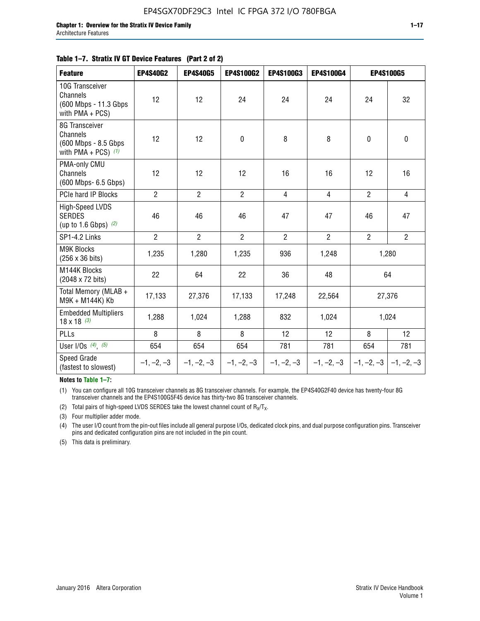#### **Table 1–7. Stratix IV GT Device Features (Part 2 of 2)**

| <b>Feature</b>                                                              | <b>EP4S40G2</b> | <b>EP4S40G5</b> | <b>EP4S100G2</b> | <b>EP4S100G3</b> | <b>EP4S100G4</b> |                | <b>EP4S100G5</b>          |
|-----------------------------------------------------------------------------|-----------------|-----------------|------------------|------------------|------------------|----------------|---------------------------|
| 10G Transceiver<br>Channels<br>(600 Mbps - 11.3 Gbps<br>with PMA + PCS)     | 12              | 12              | 24               | 24               | 24               | 24             | 32                        |
| 8G Transceiver<br>Channels<br>(600 Mbps - 8.5 Gbps<br>with PMA + PCS) $(1)$ | 12              | 12              | $\pmb{0}$        | 8                | 8                | $\mathbf 0$    | 0                         |
| PMA-only CMU<br>Channels<br>(600 Mbps- 6.5 Gbps)                            | 12              | 12              | 12               | 16               | 16               | 12             | 16                        |
| PCIe hard IP Blocks                                                         | $\overline{2}$  | $\overline{2}$  | $\overline{2}$   | $\overline{4}$   | $\overline{4}$   | $\overline{2}$ | $\overline{4}$            |
| <b>High-Speed LVDS</b><br><b>SERDES</b><br>(up to 1.6 Gbps) $(2)$           | 46              | 46              | 46               | 47               | 47               | 46             | 47                        |
| SP1-4.2 Links                                                               | $\overline{2}$  | $\overline{2}$  | $\overline{2}$   | $\overline{2}$   | $\overline{2}$   | $\overline{2}$ | $\overline{2}$            |
| <b>M9K Blocks</b><br>(256 x 36 bits)                                        | 1,235           | 1,280           | 1,235            | 936              | 1,248            |                | 1,280                     |
| M144K Blocks<br>(2048 x 72 bits)                                            | 22              | 64              | 22               | 36               | 48               |                | 64                        |
| Total Memory (MLAB +<br>M9K + M144K) Kb                                     | 17,133          | 27,376          | 17,133           | 17,248           | 22,564           |                | 27,376                    |
| <b>Embedded Multipliers</b><br>$18 \times 18^{(3)}$                         | 1,288           | 1,024           | 1,288            | 832              | 1,024            |                | 1,024                     |
| PLLs                                                                        | 8               | 8               | 8                | 12               | 12               | 8              | 12                        |
| User I/Os $(4)$ , $(5)$                                                     | 654             | 654             | 654              | 781              | 781              | 654            | 781                       |
| Speed Grade<br>(fastest to slowest)                                         | $-1, -2, -3$    | $-1, -2, -3$    | $-1, -2, -3$     | $-1, -2, -3$     | $-1, -2, -3$     |                | $-1, -2, -3$ $-1, -2, -3$ |

**Notes to Table 1–7:**

(1) You can configure all 10G transceiver channels as 8G transceiver channels. For example, the EP4S40G2F40 device has twenty-four 8G transceiver channels and the EP4S100G5F45 device has thirty-two 8G transceiver channels.

(2) Total pairs of high-speed LVDS SERDES take the lowest channel count of  $R_X/T_X$ .

(3) Four multiplier adder mode.

(4) The user I/O count from the pin-out files include all general purpose I/Os, dedicated clock pins, and dual purpose configuration pins. Transceiver pins and dedicated configuration pins are not included in the pin count.

(5) This data is preliminary.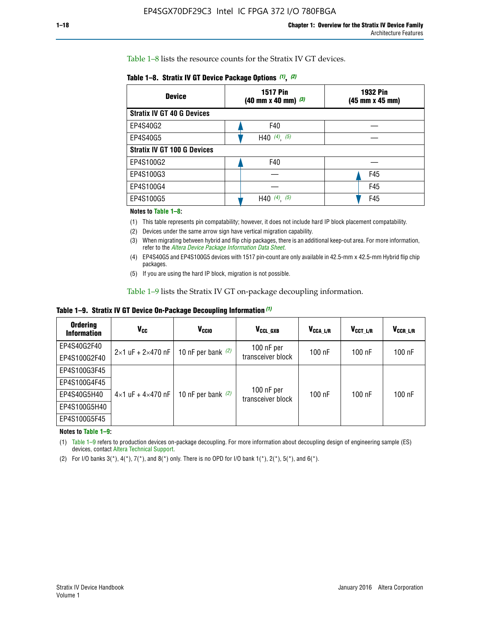Table 1–8 lists the resource counts for the Stratix IV GT devices.

| <b>Device</b>                      | <b>1517 Pin</b><br><b>1932 Pin</b><br>$(40 \text{ mm} \times 40 \text{ mm})$ $(3)$<br>(45 mm x 45 mm) |     |  |
|------------------------------------|-------------------------------------------------------------------------------------------------------|-----|--|
| <b>Stratix IV GT 40 G Devices</b>  |                                                                                                       |     |  |
| EP4S40G2                           | F40                                                                                                   |     |  |
| EP4S40G5                           | H40 $(4)$ , $(5)$                                                                                     |     |  |
| <b>Stratix IV GT 100 G Devices</b> |                                                                                                       |     |  |
| EP4S100G2                          | F40                                                                                                   |     |  |
| EP4S100G3                          |                                                                                                       | F45 |  |
| EP4S100G4                          |                                                                                                       | F45 |  |
| EP4S100G5                          | (5)<br>$(4)$ ,<br>H40                                                                                 | F45 |  |

#### **Notes to Table 1–8:**

(1) This table represents pin compatability; however, it does not include hard IP block placement compatability.

- (2) Devices under the same arrow sign have vertical migration capability.
- (3) When migrating between hybrid and flip chip packages, there is an additional keep-out area. For more information, refer to the *[Altera Device Package Information Data Sheet](http://www.altera.com/literature/ds/dspkg.pdf)*.
- (4) EP4S40G5 and EP4S100G5 devices with 1517 pin-count are only available in 42.5-mm x 42.5-mm Hybrid flip chip packages.
- (5) If you are using the hard IP block, migration is not possible.

Table 1–9 lists the Stratix IV GT on-package decoupling information.

**Table 1–9. Stratix IV GT Device On-Package Decoupling Information** *(1)*

| <b>Ordering</b><br><b>Information</b> | Vcc                                 | <b>V<sub>CCIO</sub></b> | V <sub>CCL GXB</sub>            | V <sub>CCA L/R</sub> | V <sub>CCT L/R</sub> | $V_{CCR\_L/R}$ |
|---------------------------------------|-------------------------------------|-------------------------|---------------------------------|----------------------|----------------------|----------------|
| EP4S40G2F40                           | $2 \times 1$ uF + $2 \times 470$ nF | 10 nF per bank $(2)$    | 100 nF per<br>transceiver block | $100$ nF             | $100$ nF             | 100 nF         |
| EP4S100G2F40                          |                                     |                         |                                 |                      |                      |                |
| EP4S100G3F45                          | $4\times1$ uF + $4\times470$ nF     | 10 nF per bank $(2)$    | 100 nF per<br>transceiver block | $100$ nF             | $100$ nF             | $100$ nF       |
| EP4S100G4F45                          |                                     |                         |                                 |                      |                      |                |
| EP4S40G5H40                           |                                     |                         |                                 |                      |                      |                |
| EP4S100G5H40                          |                                     |                         |                                 |                      |                      |                |
| EP4S100G5F45                          |                                     |                         |                                 |                      |                      |                |

**Notes to Table 1–9:**

(1) Table 1–9 refers to production devices on-package decoupling. For more information about decoupling design of engineering sample (ES) devices, contact [Altera Technical Support](http://mysupport.altera.com/eservice/login.asp).

(2) For I/O banks  $3(*)$ ,  $4(*)$ ,  $7(*)$ , and  $8(*)$  only. There is no OPD for I/O bank  $1(*)$ ,  $2(*)$ ,  $5(*)$ , and  $6(*)$ .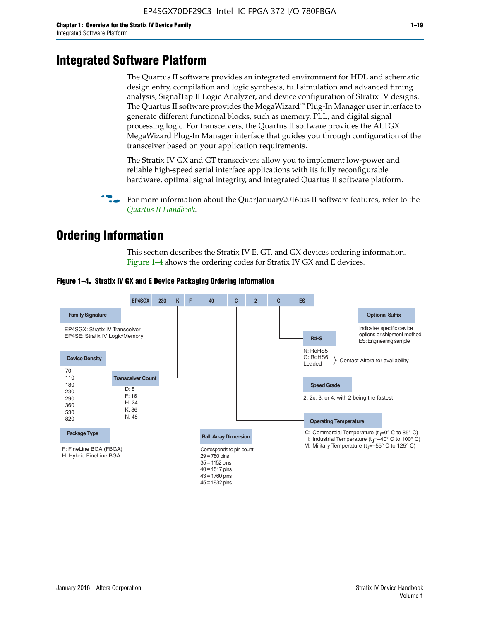# **Integrated Software Platform**

The Quartus II software provides an integrated environment for HDL and schematic design entry, compilation and logic synthesis, full simulation and advanced timing analysis, SignalTap II Logic Analyzer, and device configuration of Stratix IV designs. The Quartus II software provides the MegaWizard<sup> $M$ </sup> Plug-In Manager user interface to generate different functional blocks, such as memory, PLL, and digital signal processing logic. For transceivers, the Quartus II software provides the ALTGX MegaWizard Plug-In Manager interface that guides you through configuration of the transceiver based on your application requirements.

The Stratix IV GX and GT transceivers allow you to implement low-power and reliable high-speed serial interface applications with its fully reconfigurable hardware, optimal signal integrity, and integrated Quartus II software platform.

For more information about the QuarJanuary2016tus II software features, refer to the *[Quartus II Handbook](http://www.altera.com/literature/lit-qts.jsp)*.

# **Ordering Information**

This section describes the Stratix IV E, GT, and GX devices ordering information. Figure 1–4 shows the ordering codes for Stratix IV GX and E devices.



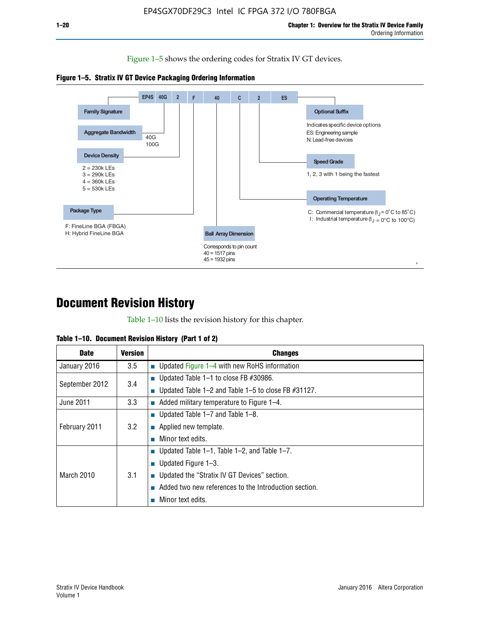Figure 1–5 shows the ordering codes for Stratix IV GT devices.





# **Document Revision History**

Table 1–10 lists the revision history for this chapter.

|  | Table 1–10. Document Revision History (Part 1 of 2) |  |  |
|--|-----------------------------------------------------|--|--|
|--|-----------------------------------------------------|--|--|

| <b>Date</b>       | <b>Version</b> | <b>Changes</b>                                              |
|-------------------|----------------|-------------------------------------------------------------|
| January 2016      | 3.5            | ■ Updated Figure $1-4$ with new RoHS information            |
| September 2012    | 3.4            | ■ Updated Table 1–1 to close FB $#30986$ .                  |
|                   |                | Updated Table $1-2$ and Table $1-5$ to close FB $\#31127$ . |
| June 2011         | 3.3            | $\blacksquare$ Added military temperature to Figure 1–4.    |
| February 2011     | 3.2            | ■ Updated Table 1–7 and Table 1–8.                          |
|                   |                | • Applied new template.                                     |
|                   |                | Minor text edits.                                           |
| <b>March 2010</b> | 3.1            | ■ Updated Table 1–1, Table 1–2, and Table 1–7.              |
|                   |                | ■ Updated Figure $1-3$ .                                    |
|                   |                | Updated the "Stratix IV GT Devices" section.                |
|                   |                | Added two new references to the Introduction section.       |
|                   |                | Minor text edits.                                           |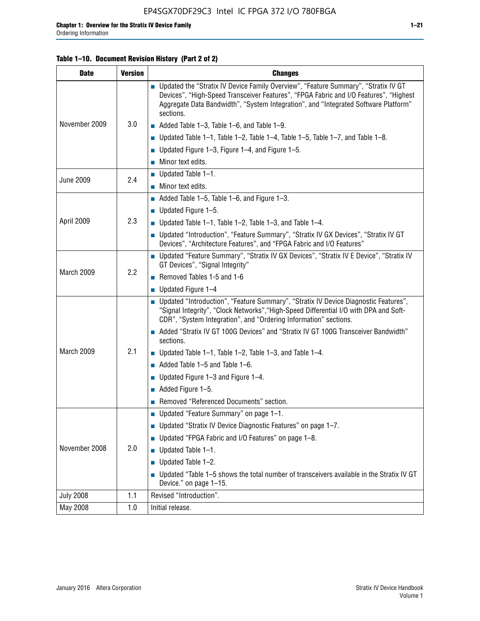#### **Table 1–10. Document Revision History (Part 2 of 2)**

| <b>Date</b>      | <b>Version</b> | <b>Changes</b>                                                                                                                                                                                                                                                                    |  |
|------------------|----------------|-----------------------------------------------------------------------------------------------------------------------------------------------------------------------------------------------------------------------------------------------------------------------------------|--|
| November 2009    | 3.0            | ■ Updated the "Stratix IV Device Family Overview", "Feature Summary", "Stratix IV GT<br>Devices", "High-Speed Transceiver Features", "FPGA Fabric and I/O Features", "Highest<br>Aggregate Data Bandwidth", "System Integration", and "Integrated Software Platform"<br>sections. |  |
|                  |                | $\blacksquare$ Added Table 1-3, Table 1-6, and Table 1-9.                                                                                                                                                                                                                         |  |
|                  |                | $\blacksquare$ Updated Table 1-1, Table 1-2, Table 1-4, Table 1-5, Table 1-7, and Table 1-8.                                                                                                                                                                                      |  |
|                  |                | ■ Updated Figure 1–3, Figure 1–4, and Figure 1–5.                                                                                                                                                                                                                                 |  |
|                  |                | $\blacksquare$ Minor text edits.                                                                                                                                                                                                                                                  |  |
| <b>June 2009</b> | 2.4            | $\blacksquare$ Updated Table 1-1.                                                                                                                                                                                                                                                 |  |
|                  |                | Minor text edits.                                                                                                                                                                                                                                                                 |  |
|                  |                | $\blacksquare$ Added Table 1–5, Table 1–6, and Figure 1–3.                                                                                                                                                                                                                        |  |
|                  |                | $\blacksquare$ Updated Figure 1-5.                                                                                                                                                                                                                                                |  |
| April 2009       | 2.3            | Updated Table $1-1$ , Table $1-2$ , Table $1-3$ , and Table $1-4$ .                                                                                                                                                                                                               |  |
|                  |                | ■ Updated "Introduction", "Feature Summary", "Stratix IV GX Devices", "Stratix IV GT<br>Devices", "Architecture Features", and "FPGA Fabric and I/O Features"                                                                                                                     |  |
| March 2009       | 2.2            | ■ Updated "Feature Summary", "Stratix IV GX Devices", "Stratix IV E Device", "Stratix IV<br>GT Devices", "Signal Integrity"                                                                                                                                                       |  |
|                  |                | Removed Tables 1-5 and 1-6                                                                                                                                                                                                                                                        |  |
|                  |                | Updated Figure 1-4                                                                                                                                                                                                                                                                |  |
|                  |                | ■ Updated "Introduction", "Feature Summary", "Stratix IV Device Diagnostic Features",<br>"Signal Integrity", "Clock Networks", "High-Speed Differential I/O with DPA and Soft-<br>CDR", "System Integration", and "Ordering Information" sections.                                |  |
|                  |                | Added "Stratix IV GT 100G Devices" and "Stratix IV GT 100G Transceiver Bandwidth"<br>sections.                                                                                                                                                                                    |  |
| March 2009       | 2.1            | <b>Updated Table 1–1, Table 1–2, Table 1–3, and Table 1–4.</b>                                                                                                                                                                                                                    |  |
|                  |                | $\blacksquare$ Added Table 1-5 and Table 1-6.                                                                                                                                                                                                                                     |  |
|                  |                | ■ Updated Figure $1-3$ and Figure $1-4$ .                                                                                                                                                                                                                                         |  |
|                  |                | $\blacksquare$ Added Figure 1-5.                                                                                                                                                                                                                                                  |  |
|                  |                | Removed "Referenced Documents" section.                                                                                                                                                                                                                                           |  |
|                  |                | Updated "Feature Summary" on page 1-1.                                                                                                                                                                                                                                            |  |
| November 2008    |                | ■ Updated "Stratix IV Device Diagnostic Features" on page 1-7.                                                                                                                                                                                                                    |  |
|                  | 2.0            | Updated "FPGA Fabric and I/O Features" on page 1-8.                                                                                                                                                                                                                               |  |
|                  |                | $\blacksquare$ Updated Table 1-1.                                                                                                                                                                                                                                                 |  |
|                  |                | Updated Table 1-2.                                                                                                                                                                                                                                                                |  |
|                  |                | Updated "Table 1-5 shows the total number of transceivers available in the Stratix IV GT<br>Device." on page 1-15.                                                                                                                                                                |  |
| <b>July 2008</b> | 1.1            | Revised "Introduction".                                                                                                                                                                                                                                                           |  |
| May 2008         | 1.0            | Initial release.                                                                                                                                                                                                                                                                  |  |